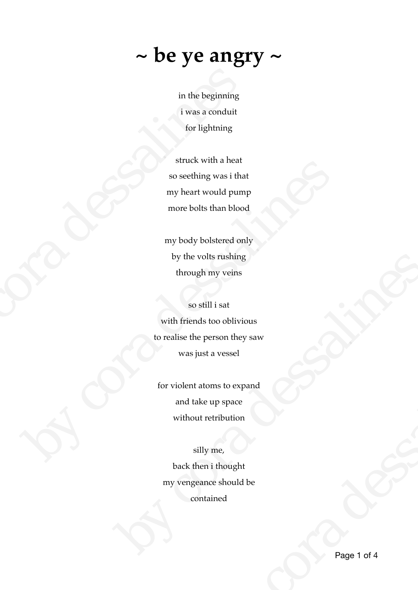## **~ be ye angry ~**

in the beginning i was a conduit for lightning

struck with a heat so seething was i that my heart would pump more bolts than blood

my body bolstered only by the volts rushing through my veins

so still i sat with friends too oblivious to realise the person they saw was just a vessel in the beginning<br>
i was a conduit<br>
for lightning<br>
struck with a heat<br>
so seething was i that<br>
my heart would pump<br>
more bolls than blood<br>
my body bolstered only<br>
by the volts rushing<br>
through my veins<br>
so still i sat<br>
with so seething was it that<br>
my heart would pump<br>
more bolts than blood<br>
my body bolstered only<br>
by the volts rushing<br>
through my verins<br>
so still i sat<br>
with friends too oblivious<br>
to realise the person they saw<br>
was just a v by the volts rushing<br>through my veins<br>to realist the person they saw<br>was just a vessel<br>for violent atoms to expand<br>and take up space<br>without retribution<br>silly me,<br>back then i thought<br>my vengeance should be<br>contained

for violent atoms to expand and take up space without retribution

## silly me,

back then i thought my vengeance should be contained t a vessel<br>
oms to expand<br>
e up space<br>
retribution<br>
y me,<br>
n i thought<br>
due should be<br>
tained<br>
Page 1 of 4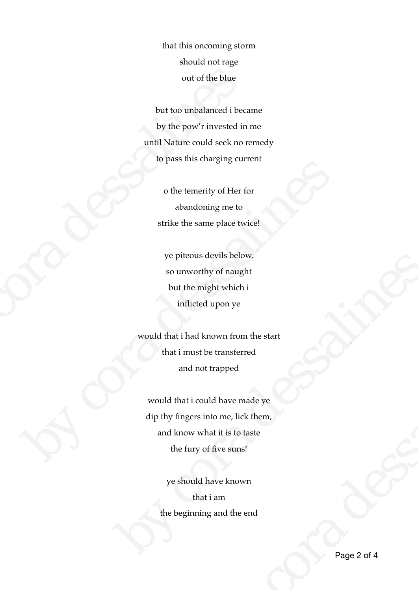that this oncoming storm should not rage out of the blue

but too unbalanced i became by the pow'r invested in me until Nature could seek no remedy to pass this charging current out of the blue<br>but too unbalanced i beca<br>by the pow'r invested in :<br>until Nature could seek no re<br>to pass this charging curr<br>o the temerity of Her for<br>abandoning me to<br>strike the same place twi<br>ye piteous devils below<br>so

o the temerity of Her for abandoning me to strike the same place twice!

ye piteous devils below, so unworthy of naught but the might which i inflicted upon ye

would that i had known from the start that i must be transferred and not trapped

would that i could have made ye dip thy fingers into me, lick them, and know what it is to taste the fury of five suns! o the temerity of Her for<br>abandoning me to<br>strike the same place twice!<br>ye piteous devils below,<br>so unworthy of naught<br>but the might which is<br>inflicted upon ye<br>would that i had known from the start<br>that in must be transfer by e pineous devis below,<br>so unworthy of naught<br>but the might which is<br>inflicted upon ye<br>would that i had known from the start<br>that in must be transferred<br>and not trapped<br>would that i could have made ye<br>dip thy fingers int be transferred<br>t trapped<br>uld have made ye<br>nto me, lick them,<br>hat it is to taste<br>of five suns!<br>have known<br>t i am<br>mg and the end<br>Page 2 of 4

ye should have known that i am the beginning and the end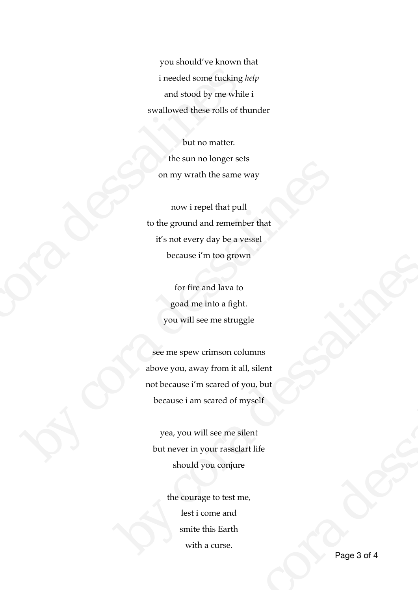you should've known that i needed some fucking *help*  and stood by me while i swallowed these rolls of thunder

but no matter. the sun no longer sets on my wrath the same way

now i repel that pull to the ground and remember that it's not every day be a vessel because i'm too grown i needed some fucking  $h$ <br>and stood by me while<br>swallowed these rolls of thu<br>but no matter.<br>the sum no longer sets<br>on my wrath the same w<br>movi repel that pull<br>to the ground and remembe<br>it's not every day be a ves<br>because i

for fire and lava to goad me into a fight. you will see me struggle

see me spew crimson columns above you, away from it all, silent not because i'm scared of you, but because i am scared of myself on my wrath the same way<br>
now i repel that pull<br>
to the ground and remember that<br>
it's not every day be a vessel<br>
because i'm too grown<br>
for fire and lava to<br>
goad me into a fight.<br>
you will see me struggle<br>
See me spew cr because i in too grown<br>for fire and lava to<br>goad me into a fight.<br>you will see me struggle<br>see me spew crimson columns<br>above you, away from it all, silent<br>not because i am scared of you, but<br>because i am scared of you, but rimson columns<br>
by from it all, silent<br>
scared of you, but<br>
scared of myself<br>
1 see me silent<br>
Due conjure<br>
e to test me,<br>
ome and<br>
his Earth<br>
a curse.<br>
Page 3 of 4

yea, you will see me silent but never in your rassclart life should you conjure

> the courage to test me, lest i come and smite this Earth with a curse.